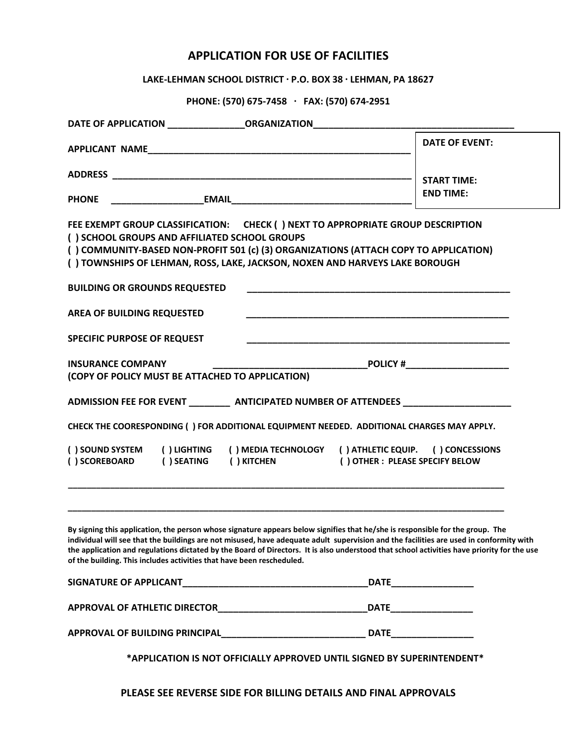## **APPLICATION FOR USE OF FACILITIES**

**LAKE‐LEHMAN SCHOOL DISTRICT · P.O. BOX 38 · LEHMAN, PA 18627**

**PHONE: (570) 675‐7458 · FAX: (570) 674‐2951**

| <b>START TIME:</b><br><b>END TIME:</b><br>FEE EXEMPT GROUP CLASSIFICATION: CHECK () NEXT TO APPROPRIATE GROUP DESCRIPTION<br>() COMMUNITY-BASED NON-PROFIT 501 (c) (3) ORGANIZATIONS (ATTACH COPY TO APPLICATION)<br>() TOWNSHIPS OF LEHMAN, ROSS, LAKE, JACKSON, NOXEN AND HARVEYS LAKE BOROUGH                                                                                                                      |
|-----------------------------------------------------------------------------------------------------------------------------------------------------------------------------------------------------------------------------------------------------------------------------------------------------------------------------------------------------------------------------------------------------------------------|
|                                                                                                                                                                                                                                                                                                                                                                                                                       |
|                                                                                                                                                                                                                                                                                                                                                                                                                       |
|                                                                                                                                                                                                                                                                                                                                                                                                                       |
|                                                                                                                                                                                                                                                                                                                                                                                                                       |
|                                                                                                                                                                                                                                                                                                                                                                                                                       |
|                                                                                                                                                                                                                                                                                                                                                                                                                       |
|                                                                                                                                                                                                                                                                                                                                                                                                                       |
|                                                                                                                                                                                                                                                                                                                                                                                                                       |
|                                                                                                                                                                                                                                                                                                                                                                                                                       |
|                                                                                                                                                                                                                                                                                                                                                                                                                       |
|                                                                                                                                                                                                                                                                                                                                                                                                                       |
|                                                                                                                                                                                                                                                                                                                                                                                                                       |
|                                                                                                                                                                                                                                                                                                                                                                                                                       |
| ADMISSION FEE FOR EVENT _____________ ANTICIPATED NUMBER OF ATTENDEES ______________________________                                                                                                                                                                                                                                                                                                                  |
| CHECK THE COORESPONDING ( ) FOR ADDITIONAL EQUIPMENT NEEDED. ADDITIONAL CHARGES MAY APPLY.                                                                                                                                                                                                                                                                                                                            |
| () MEDIA TECHNOLOGY () ATHLETIC EQUIP. () CONCESSIONS                                                                                                                                                                                                                                                                                                                                                                 |
| () OTHER: PLEASE SPECIFY BELOW                                                                                                                                                                                                                                                                                                                                                                                        |
|                                                                                                                                                                                                                                                                                                                                                                                                                       |
|                                                                                                                                                                                                                                                                                                                                                                                                                       |
| By signing this application, the person whose signature appears below signifies that he/she is responsible for the group. The<br>individual will see that the buildings are not misused, have adequate adult supervision and the facilities are used in conformity with<br>the application and regulations dictated by the Board of Directors. It is also understood that school activities have priority for the use |
|                                                                                                                                                                                                                                                                                                                                                                                                                       |
| _DATE _______________________                                                                                                                                                                                                                                                                                                                                                                                         |
|                                                                                                                                                                                                                                                                                                                                                                                                                       |
|                                                                                                                                                                                                                                                                                                                                                                                                                       |

**PLEASE SEE REVERSE SIDE FOR BILLING DETAILS AND FINAL APPROVALS**